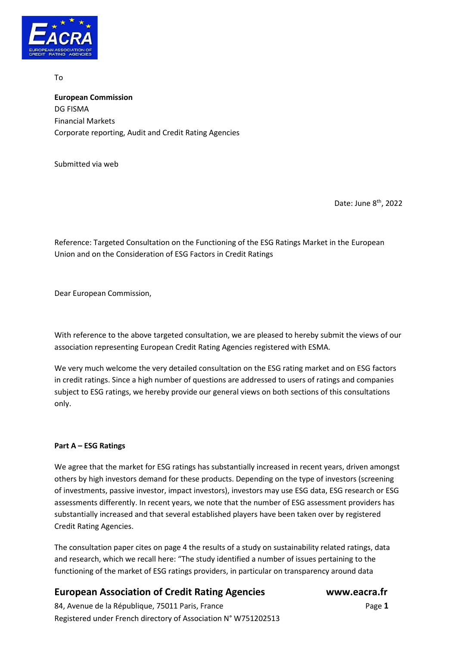

To

**European Commission** DG FISMA Financial Markets Corporate reporting, Audit and Credit Rating Agencies

Submitted via web

Date: June 8<sup>th</sup>, 2022

Reference: Targeted Consultation on the Functioning of the ESG Ratings Market in the European Union and on the Consideration of ESG Factors in Credit Ratings

Dear European Commission,

With reference to the above targeted consultation, we are pleased to hereby submit the views of our association representing European Credit Rating Agencies registered with ESMA.

We very much welcome the very detailed consultation on the ESG rating market and on ESG factors in credit ratings. Since a high number of questions are addressed to users of ratings and companies subject to ESG ratings, we hereby provide our general views on both sections of this consultations only.

## **Part A – ESG Ratings**

We agree that the market for ESG ratings has substantially increased in recent years, driven amongst others by high investors demand for these products. Depending on the type of investors (screening of investments, passive investor, impact investors), investors may use ESG data, ESG research or ESG assessments differently. In recent years, we note that the number of ESG assessment providers has substantially increased and that several established players have been taken over by registered Credit Rating Agencies.

The consultation paper cites on page 4 the results of a study on sustainability related ratings, data and research, which we recall here: "The study identified a number of issues pertaining to the functioning of the market of ESG ratings providers, in particular on transparency around data

## **European Association of Credit Rating Agencies www.eacra.fr**

84, Avenue de la République, 75011 Paris, FrancePage **1** Registered under French directory of Association N° W751202513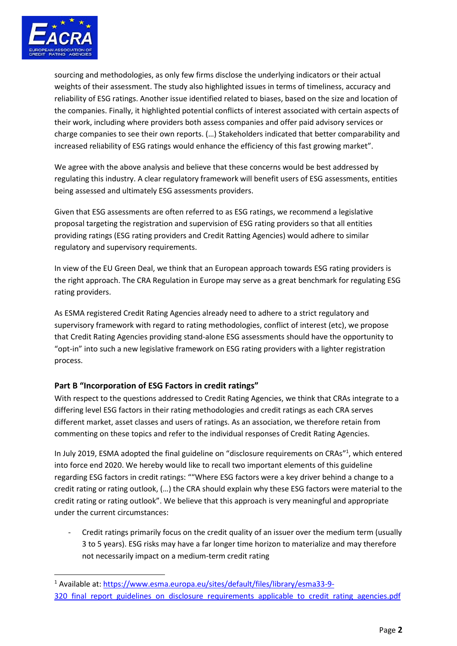

sourcing and methodologies, as only few firms disclose the underlying indicators or their actual weights of their assessment. The study also highlighted issues in terms of timeliness, accuracy and reliability of ESG ratings. Another issue identified related to biases, based on the size and location of the companies. Finally, it highlighted potential conflicts of interest associated with certain aspects of their work, including where providers both assess companies and offer paid advisory services or charge companies to see their own reports. (…) Stakeholders indicated that better comparability and increased reliability of ESG ratings would enhance the efficiency of this fast growing market".

We agree with the above analysis and believe that these concerns would be best addressed by regulating this industry. A clear regulatory framework will benefit users of ESG assessments, entities being assessed and ultimately ESG assessments providers.

Given that ESG assessments are often referred to as ESG ratings, we recommend a legislative proposal targeting the registration and supervision of ESG rating providers so that all entities providing ratings (ESG rating providers and Credit Ratting Agencies) would adhere to similar regulatory and supervisory requirements.

In view of the EU Green Deal, we think that an European approach towards ESG rating providers is the right approach. The CRA Regulation in Europe may serve as a great benchmark for regulating ESG rating providers.

As ESMA registered Credit Rating Agencies already need to adhere to a strict regulatory and supervisory framework with regard to rating methodologies, conflict of interest (etc), we propose that Credit Rating Agencies providing stand-alone ESG assessments should have the opportunity to "opt-in" into such a new legislative framework on ESG rating providers with a lighter registration process.

## **Part B "Incorporation of ESG Factors in credit ratings"**

With respect to the questions addressed to Credit Rating Agencies, we think that CRAs integrate to a differing level ESG factors in their rating methodologies and credit ratings as each CRA serves different market, asset classes and users of ratings. As an association, we therefore retain from commenting on these topics and refer to the individual responses of Credit Rating Agencies.

In July 2019, ESMA adopted the final guideline on "disclosure requirements on CRAs"<sup>1</sup>, which entered into force end 2020. We hereby would like to recall two important elements of this guideline regarding ESG factors in credit ratings: ""Where ESG factors were a key driver behind a change to a credit rating or rating outlook, (…) the CRA should explain why these ESG factors were material to the credit rating or rating outlook". We believe that this approach is very meaningful and appropriate under the current circumstances:

Credit ratings primarily focus on the credit quality of an issuer over the medium term (usually 3 to 5 years). ESG risks may have a far longer time horizon to materialize and may therefore not necessarily impact on a medium-term credit rating

<sup>1</sup> Available at[: https://www.esma.europa.eu/sites/default/files/library/esma33-9-](https://www.esma.europa.eu/sites/default/files/library/esma33-9-320_final_report_guidelines_on_disclosure_requirements_applicable_to_credit_rating_agencies.pdf) 320 final report guidelines on disclosure requirements applicable to credit rating agencies.pdf